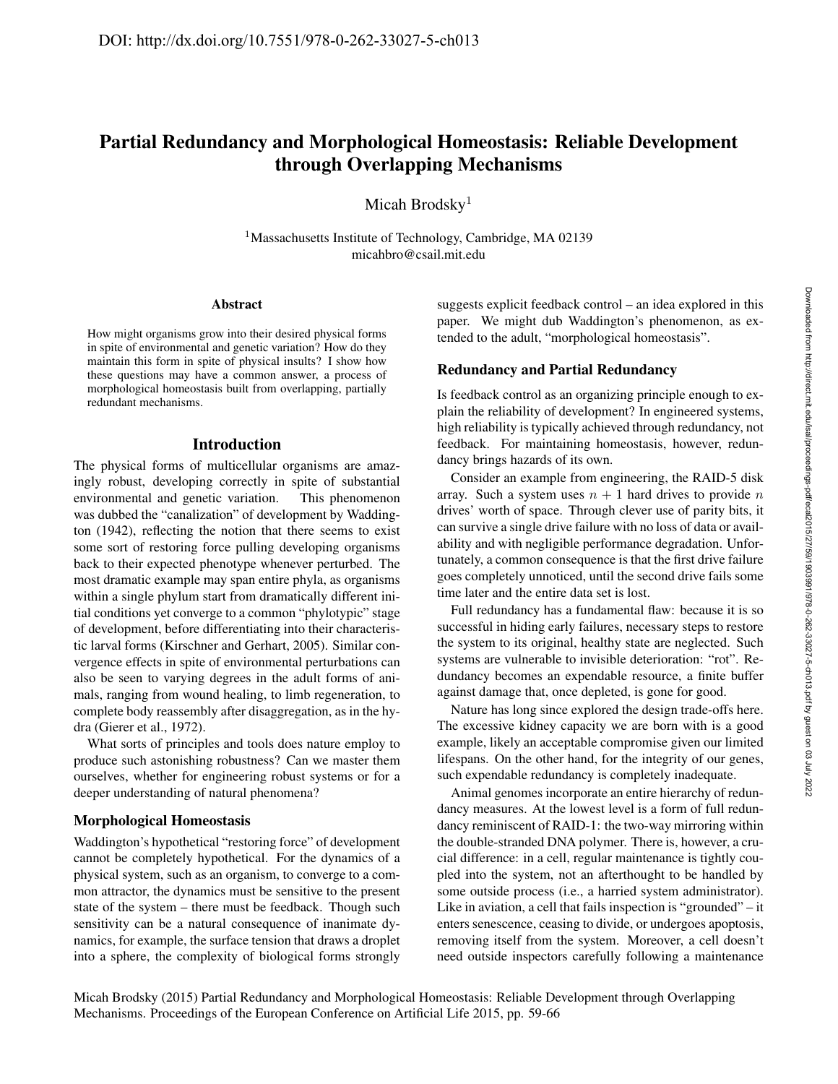# Partial Redundancy and Morphological Homeostasis: Reliable Development through Overlapping Mechanisms

Micah Brodsky<sup>1</sup>

<sup>1</sup>Massachusetts Institute of Technology, Cambridge, MA 02139 micahbro@csail.mit.edu

#### Abstract

How might organisms grow into their desired physical forms in spite of environmental and genetic variation? How do they maintain this form in spite of physical insults? I show how these questions may have a common answer, a process of morphological homeostasis built from overlapping, partially redundant mechanisms.

# Introduction

The physical forms of multicellular organisms are amazingly robust, developing correctly in spite of substantial environmental and genetic variation. This phenomenon was dubbed the "canalization" of development by Waddington (1942), reflecting the notion that there seems to exist some sort of restoring force pulling developing organisms back to their expected phenotype whenever perturbed. The most dramatic example may span entire phyla, as organisms within a single phylum start from dramatically different initial conditions yet converge to a common "phylotypic" stage of development, before differentiating into their characteristic larval forms (Kirschner and Gerhart, 2005). Similar convergence effects in spite of environmental perturbations can also be seen to varying degrees in the adult forms of animals, ranging from wound healing, to limb regeneration, to complete body reassembly after disaggregation, as in the hydra (Gierer et al., 1972).

What sorts of principles and tools does nature employ to produce such astonishing robustness? Can we master them ourselves, whether for engineering robust systems or for a deeper understanding of natural phenomena?

# Morphological Homeostasis

Waddington's hypothetical "restoring force" of development cannot be completely hypothetical. For the dynamics of a physical system, such as an organism, to converge to a common attractor, the dynamics must be sensitive to the present state of the system – there must be feedback. Though such sensitivity can be a natural consequence of inanimate dynamics, for example, the surface tension that draws a droplet into a sphere, the complexity of biological forms strongly

suggests explicit feedback control – an idea explored in this paper. We might dub Waddington's phenomenon, as extended to the adult, "morphological homeostasis".

## Redundancy and Partial Redundancy

Is feedback control as an organizing principle enough to explain the reliability of development? In engineered systems, high reliability is typically achieved through redundancy, not feedback. For maintaining homeostasis, however, redundancy brings hazards of its own.

Consider an example from engineering, the RAID-5 disk array. Such a system uses  $n + 1$  hard drives to provide n drives' worth of space. Through clever use of parity bits, it can survive a single drive failure with no loss of data or availability and with negligible performance degradation. Unfortunately, a common consequence is that the first drive failure goes completely unnoticed, until the second drive fails some time later and the entire data set is lost.

Full redundancy has a fundamental flaw: because it is so successful in hiding early failures, necessary steps to restore the system to its original, healthy state are neglected. Such systems are vulnerable to invisible deterioration: "rot". Redundancy becomes an expendable resource, a finite buffer against damage that, once depleted, is gone for good.

Nature has long since explored the design trade-offs here. The excessive kidney capacity we are born with is a good example, likely an acceptable compromise given our limited lifespans. On the other hand, for the integrity of our genes, such expendable redundancy is completely inadequate.

Animal genomes incorporate an entire hierarchy of redundancy measures. At the lowest level is a form of full redundancy reminiscent of RAID-1: the two-way mirroring within the double-stranded DNA polymer. There is, however, a crucial difference: in a cell, regular maintenance is tightly coupled into the system, not an afterthought to be handled by some outside process (i.e., a harried system administrator). Like in aviation, a cell that fails inspection is "grounded" – it enters senescence, ceasing to divide, or undergoes apoptosis, removing itself from the system. Moreover, a cell doesn't need outside inspectors carefully following a maintenance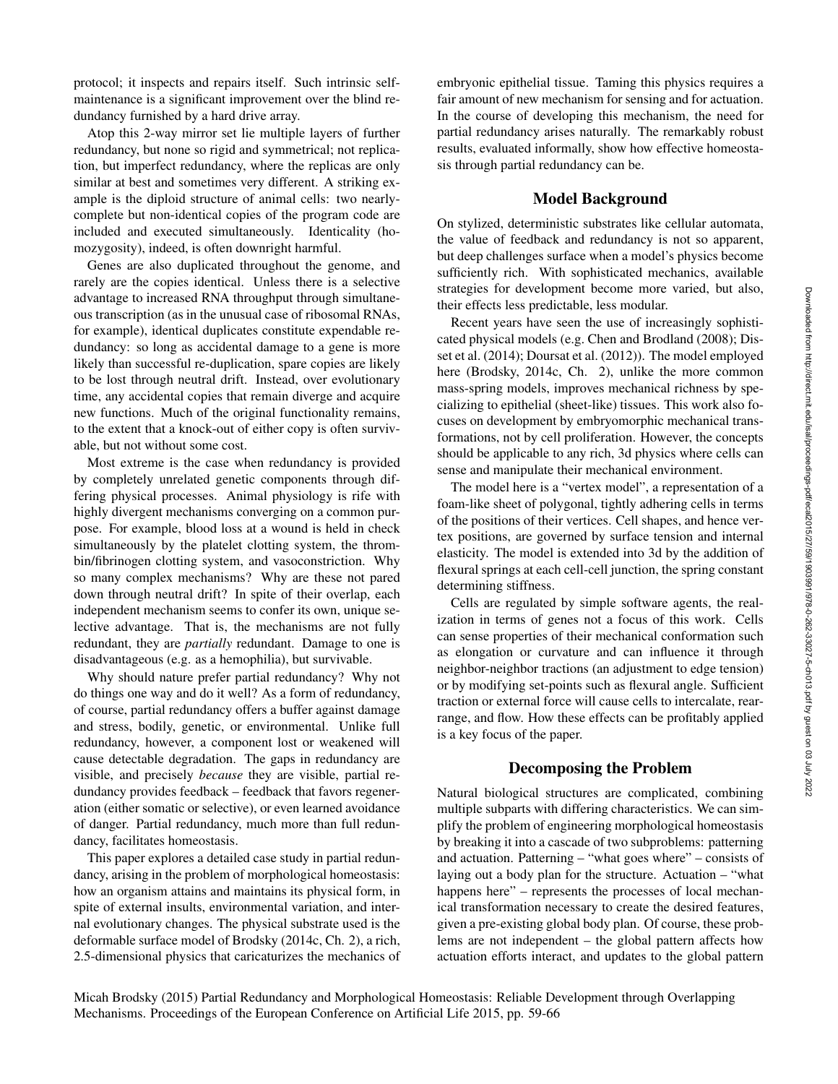protocol; it inspects and repairs itself. Such intrinsic selfmaintenance is a significant improvement over the blind redundancy furnished by a hard drive array.

Atop this 2-way mirror set lie multiple layers of further redundancy, but none so rigid and symmetrical; not replication, but imperfect redundancy, where the replicas are only similar at best and sometimes very different. A striking example is the diploid structure of animal cells: two nearlycomplete but non-identical copies of the program code are included and executed simultaneously. Identicality (homozygosity), indeed, is often downright harmful.

Genes are also duplicated throughout the genome, and rarely are the copies identical. Unless there is a selective advantage to increased RNA throughput through simultaneous transcription (as in the unusual case of ribosomal RNAs, for example), identical duplicates constitute expendable redundancy: so long as accidental damage to a gene is more likely than successful re-duplication, spare copies are likely to be lost through neutral drift. Instead, over evolutionary time, any accidental copies that remain diverge and acquire new functions. Much of the original functionality remains, to the extent that a knock-out of either copy is often survivable, but not without some cost.

Most extreme is the case when redundancy is provided by completely unrelated genetic components through differing physical processes. Animal physiology is rife with highly divergent mechanisms converging on a common purpose. For example, blood loss at a wound is held in check simultaneously by the platelet clotting system, the thrombin/fibrinogen clotting system, and vasoconstriction. Why so many complex mechanisms? Why are these not pared down through neutral drift? In spite of their overlap, each independent mechanism seems to confer its own, unique selective advantage. That is, the mechanisms are not fully redundant, they are *partially* redundant. Damage to one is disadvantageous (e.g. as a hemophilia), but survivable.

Why should nature prefer partial redundancy? Why not do things one way and do it well? As a form of redundancy, of course, partial redundancy offers a buffer against damage and stress, bodily, genetic, or environmental. Unlike full redundancy, however, a component lost or weakened will cause detectable degradation. The gaps in redundancy are visible, and precisely *because* they are visible, partial redundancy provides feedback – feedback that favors regeneration (either somatic or selective), or even learned avoidance of danger. Partial redundancy, much more than full redundancy, facilitates homeostasis.

This paper explores a detailed case study in partial redundancy, arising in the problem of morphological homeostasis: how an organism attains and maintains its physical form, in spite of external insults, environmental variation, and internal evolutionary changes. The physical substrate used is the deformable surface model of Brodsky (2014c, Ch. 2), a rich, 2.5-dimensional physics that caricaturizes the mechanics of

embryonic epithelial tissue. Taming this physics requires a fair amount of new mechanism for sensing and for actuation. In the course of developing this mechanism, the need for partial redundancy arises naturally. The remarkably robust results, evaluated informally, show how effective homeostasis through partial redundancy can be.

#### Model Background

On stylized, deterministic substrates like cellular automata, the value of feedback and redundancy is not so apparent, but deep challenges surface when a model's physics become sufficiently rich. With sophisticated mechanics, available strategies for development become more varied, but also, their effects less predictable, less modular.

Recent years have seen the use of increasingly sophisticated physical models (e.g. Chen and Brodland (2008); Disset et al. (2014); Doursat et al. (2012)). The model employed here (Brodsky, 2014c, Ch. 2), unlike the more common mass-spring models, improves mechanical richness by specializing to epithelial (sheet-like) tissues. This work also focuses on development by embryomorphic mechanical transformations, not by cell proliferation. However, the concepts should be applicable to any rich, 3d physics where cells can sense and manipulate their mechanical environment.

The model here is a "vertex model", a representation of a foam-like sheet of polygonal, tightly adhering cells in terms of the positions of their vertices. Cell shapes, and hence vertex positions, are governed by surface tension and internal elasticity. The model is extended into 3d by the addition of flexural springs at each cell-cell junction, the spring constant determining stiffness.

Cells are regulated by simple software agents, the realization in terms of genes not a focus of this work. Cells can sense properties of their mechanical conformation such as elongation or curvature and can influence it through neighbor-neighbor tractions (an adjustment to edge tension) or by modifying set-points such as flexural angle. Sufficient traction or external force will cause cells to intercalate, rearrange, and flow. How these effects can be profitably applied is a key focus of the paper.

#### Decomposing the Problem

Natural biological structures are complicated, combining multiple subparts with differing characteristics. We can simplify the problem of engineering morphological homeostasis by breaking it into a cascade of two subproblems: patterning and actuation. Patterning – "what goes where" – consists of laying out a body plan for the structure. Actuation – "what happens here" – represents the processes of local mechanical transformation necessary to create the desired features, given a pre-existing global body plan. Of course, these problems are not independent – the global pattern affects how actuation efforts interact, and updates to the global pattern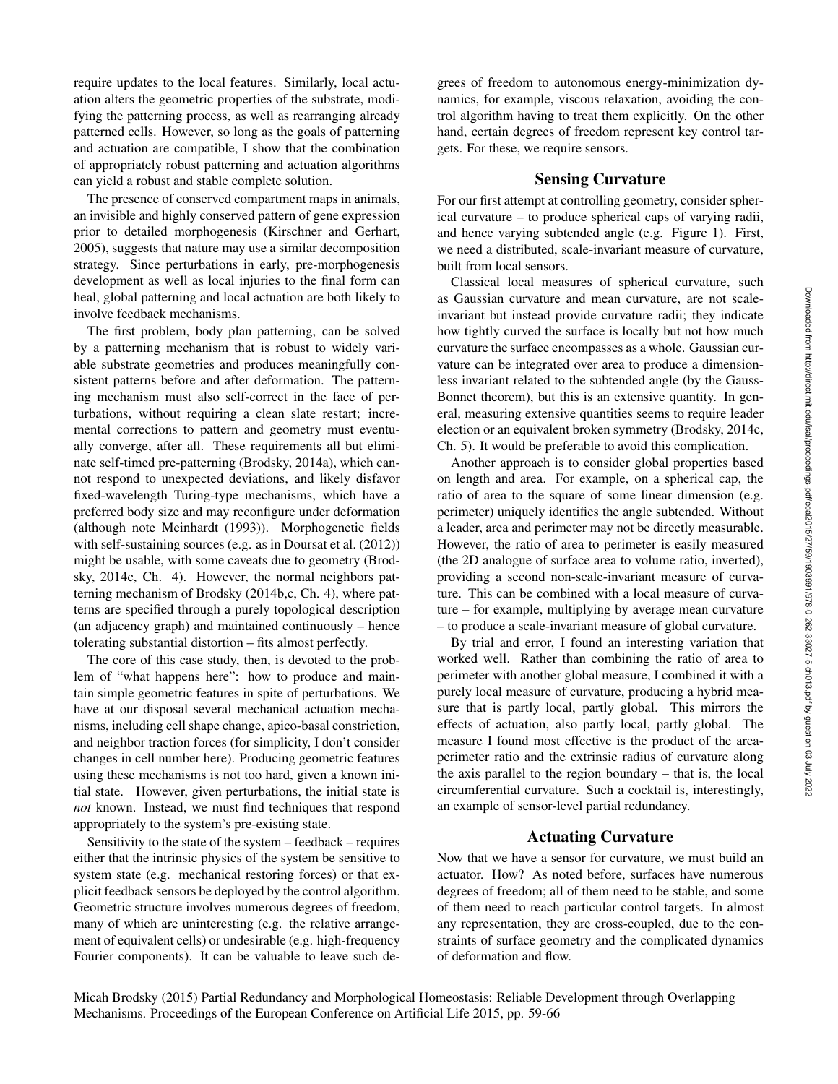require updates to the local features. Similarly, local actuation alters the geometric properties of the substrate, modifying the patterning process, as well as rearranging already patterned cells. However, so long as the goals of patterning and actuation are compatible, I show that the combination of appropriately robust patterning and actuation algorithms can yield a robust and stable complete solution.

The presence of conserved compartment maps in animals, an invisible and highly conserved pattern of gene expression prior to detailed morphogenesis (Kirschner and Gerhart, 2005), suggests that nature may use a similar decomposition strategy. Since perturbations in early, pre-morphogenesis development as well as local injuries to the final form can heal, global patterning and local actuation are both likely to involve feedback mechanisms.

The first problem, body plan patterning, can be solved by a patterning mechanism that is robust to widely variable substrate geometries and produces meaningfully consistent patterns before and after deformation. The patterning mechanism must also self-correct in the face of perturbations, without requiring a clean slate restart; incremental corrections to pattern and geometry must eventually converge, after all. These requirements all but eliminate self-timed pre-patterning (Brodsky, 2014a), which cannot respond to unexpected deviations, and likely disfavor fixed-wavelength Turing-type mechanisms, which have a preferred body size and may reconfigure under deformation (although note Meinhardt (1993)). Morphogenetic fields with self-sustaining sources (e.g. as in Doursat et al. (2012)) might be usable, with some caveats due to geometry (Brodsky, 2014c, Ch. 4). However, the normal neighbors patterning mechanism of Brodsky (2014b,c, Ch. 4), where patterns are specified through a purely topological description (an adjacency graph) and maintained continuously – hence tolerating substantial distortion – fits almost perfectly.

The core of this case study, then, is devoted to the problem of "what happens here": how to produce and maintain simple geometric features in spite of perturbations. We have at our disposal several mechanical actuation mechanisms, including cell shape change, apico-basal constriction, and neighbor traction forces (for simplicity, I don't consider changes in cell number here). Producing geometric features using these mechanisms is not too hard, given a known initial state. However, given perturbations, the initial state is *not* known. Instead, we must find techniques that respond appropriately to the system's pre-existing state.

Sensitivity to the state of the system – feedback – requires either that the intrinsic physics of the system be sensitive to system state (e.g. mechanical restoring forces) or that explicit feedback sensors be deployed by the control algorithm. Geometric structure involves numerous degrees of freedom, many of which are uninteresting (e.g. the relative arrangement of equivalent cells) or undesirable (e.g. high-frequency Fourier components). It can be valuable to leave such degrees of freedom to autonomous energy-minimization dynamics, for example, viscous relaxation, avoiding the control algorithm having to treat them explicitly. On the other hand, certain degrees of freedom represent key control targets. For these, we require sensors.

#### Sensing Curvature

For our first attempt at controlling geometry, consider spherical curvature – to produce spherical caps of varying radii, and hence varying subtended angle (e.g. Figure 1). First, we need a distributed, scale-invariant measure of curvature, built from local sensors.

Classical local measures of spherical curvature, such as Gaussian curvature and mean curvature, are not scaleinvariant but instead provide curvature radii; they indicate how tightly curved the surface is locally but not how much curvature the surface encompasses as a whole. Gaussian curvature can be integrated over area to produce a dimensionless invariant related to the subtended angle (by the Gauss-Bonnet theorem), but this is an extensive quantity. In general, measuring extensive quantities seems to require leader election or an equivalent broken symmetry (Brodsky, 2014c, Ch. 5). It would be preferable to avoid this complication.

Another approach is to consider global properties based on length and area. For example, on a spherical cap, the ratio of area to the square of some linear dimension (e.g. perimeter) uniquely identifies the angle subtended. Without a leader, area and perimeter may not be directly measurable. However, the ratio of area to perimeter is easily measured (the 2D analogue of surface area to volume ratio, inverted), providing a second non-scale-invariant measure of curvature. This can be combined with a local measure of curvature – for example, multiplying by average mean curvature – to produce a scale-invariant measure of global curvature.

By trial and error, I found an interesting variation that worked well. Rather than combining the ratio of area to perimeter with another global measure, I combined it with a purely local measure of curvature, producing a hybrid measure that is partly local, partly global. This mirrors the effects of actuation, also partly local, partly global. The measure I found most effective is the product of the areaperimeter ratio and the extrinsic radius of curvature along the axis parallel to the region boundary – that is, the local circumferential curvature. Such a cocktail is, interestingly, an example of sensor-level partial redundancy.

# Actuating Curvature

Now that we have a sensor for curvature, we must build an actuator. How? As noted before, surfaces have numerous degrees of freedom; all of them need to be stable, and some of them need to reach particular control targets. In almost any representation, they are cross-coupled, due to the constraints of surface geometry and the complicated dynamics of deformation and flow.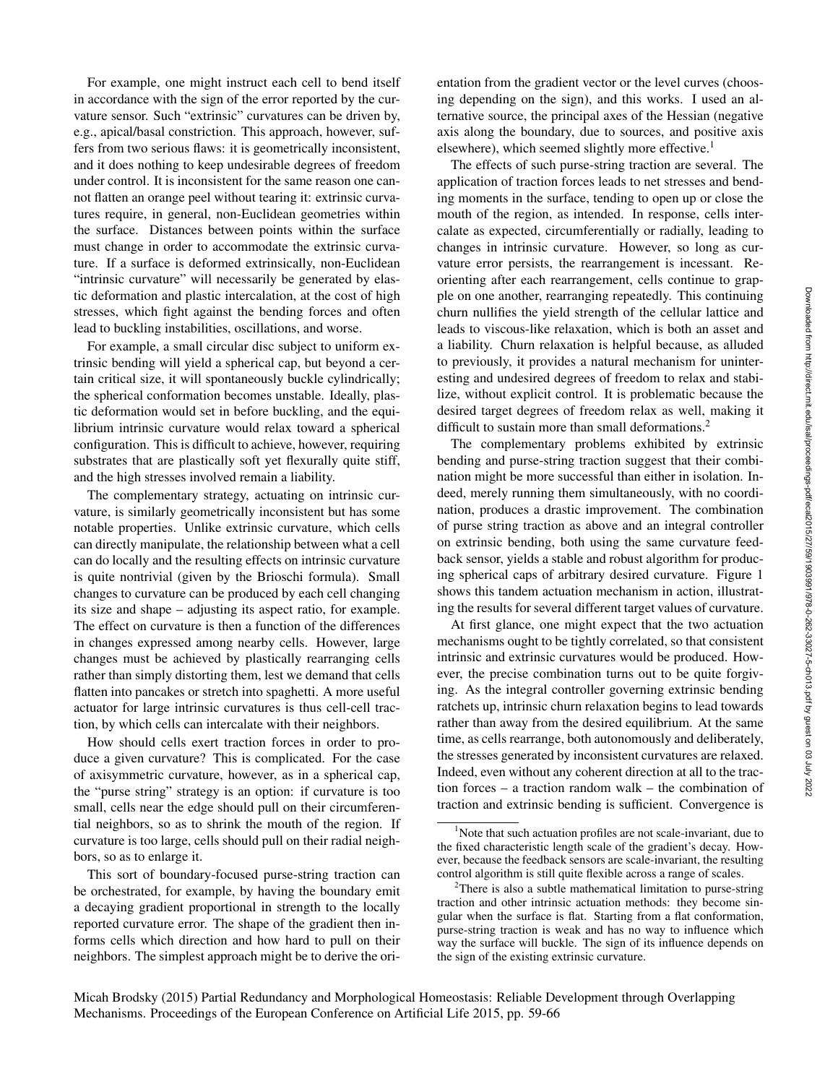For example, one might instruct each cell to bend itself in accordance with the sign of the error reported by the curvature sensor. Such "extrinsic" curvatures can be driven by, e.g., apical/basal constriction. This approach, however, suffers from two serious flaws: it is geometrically inconsistent, and it does nothing to keep undesirable degrees of freedom under control. It is inconsistent for the same reason one cannot flatten an orange peel without tearing it: extrinsic curvatures require, in general, non-Euclidean geometries within the surface. Distances between points within the surface must change in order to accommodate the extrinsic curvature. If a surface is deformed extrinsically, non-Euclidean "intrinsic curvature" will necessarily be generated by elastic deformation and plastic intercalation, at the cost of high stresses, which fight against the bending forces and often lead to buckling instabilities, oscillations, and worse.

For example, a small circular disc subject to uniform extrinsic bending will yield a spherical cap, but beyond a certain critical size, it will spontaneously buckle cylindrically; the spherical conformation becomes unstable. Ideally, plastic deformation would set in before buckling, and the equilibrium intrinsic curvature would relax toward a spherical configuration. This is difficult to achieve, however, requiring substrates that are plastically soft yet flexurally quite stiff, and the high stresses involved remain a liability.

The complementary strategy, actuating on intrinsic curvature, is similarly geometrically inconsistent but has some notable properties. Unlike extrinsic curvature, which cells can directly manipulate, the relationship between what a cell can do locally and the resulting effects on intrinsic curvature is quite nontrivial (given by the Brioschi formula). Small changes to curvature can be produced by each cell changing its size and shape – adjusting its aspect ratio, for example. The effect on curvature is then a function of the differences in changes expressed among nearby cells. However, large changes must be achieved by plastically rearranging cells rather than simply distorting them, lest we demand that cells flatten into pancakes or stretch into spaghetti. A more useful actuator for large intrinsic curvatures is thus cell-cell traction, by which cells can intercalate with their neighbors.

How should cells exert traction forces in order to produce a given curvature? This is complicated. For the case of axisymmetric curvature, however, as in a spherical cap, the "purse string" strategy is an option: if curvature is too small, cells near the edge should pull on their circumferential neighbors, so as to shrink the mouth of the region. If curvature is too large, cells should pull on their radial neighbors, so as to enlarge it.

This sort of boundary-focused purse-string traction can be orchestrated, for example, by having the boundary emit a decaying gradient proportional in strength to the locally reported curvature error. The shape of the gradient then informs cells which direction and how hard to pull on their neighbors. The simplest approach might be to derive the orientation from the gradient vector or the level curves (choosing depending on the sign), and this works. I used an alternative source, the principal axes of the Hessian (negative axis along the boundary, due to sources, and positive axis elsewhere), which seemed slightly more effective.<sup>1</sup>

The effects of such purse-string traction are several. The application of traction forces leads to net stresses and bending moments in the surface, tending to open up or close the mouth of the region, as intended. In response, cells intercalate as expected, circumferentially or radially, leading to changes in intrinsic curvature. However, so long as curvature error persists, the rearrangement is incessant. Reorienting after each rearrangement, cells continue to grapple on one another, rearranging repeatedly. This continuing churn nullifies the yield strength of the cellular lattice and leads to viscous-like relaxation, which is both an asset and a liability. Churn relaxation is helpful because, as alluded to previously, it provides a natural mechanism for uninteresting and undesired degrees of freedom to relax and stabilize, without explicit control. It is problematic because the desired target degrees of freedom relax as well, making it difficult to sustain more than small deformations.<sup>2</sup>

The complementary problems exhibited by extrinsic bending and purse-string traction suggest that their combination might be more successful than either in isolation. Indeed, merely running them simultaneously, with no coordination, produces a drastic improvement. The combination of purse string traction as above and an integral controller on extrinsic bending, both using the same curvature feedback sensor, yields a stable and robust algorithm for producing spherical caps of arbitrary desired curvature. Figure 1 shows this tandem actuation mechanism in action, illustrating the results for several different target values of curvature.

At first glance, one might expect that the two actuation mechanisms ought to be tightly correlated, so that consistent intrinsic and extrinsic curvatures would be produced. However, the precise combination turns out to be quite forgiving. As the integral controller governing extrinsic bending ratchets up, intrinsic churn relaxation begins to lead towards rather than away from the desired equilibrium. At the same time, as cells rearrange, both autonomously and deliberately, the stresses generated by inconsistent curvatures are relaxed. Indeed, even without any coherent direction at all to the traction forces – a traction random walk – the combination of traction and extrinsic bending is sufficient. Convergence is

<sup>&</sup>lt;sup>1</sup>Note that such actuation profiles are not scale-invariant, due to the fixed characteristic length scale of the gradient's decay. However, because the feedback sensors are scale-invariant, the resulting control algorithm is still quite flexible across a range of scales.

<sup>&</sup>lt;sup>2</sup>There is also a subtle mathematical limitation to purse-string traction and other intrinsic actuation methods: they become singular when the surface is flat. Starting from a flat conformation, purse-string traction is weak and has no way to influence which way the surface will buckle. The sign of its influence depends on the sign of the existing extrinsic curvature.

Micah Brodsky (2015) Partial Redundancy and Morphological Homeostasis: Reliable Development through Overlapping Mechanisms. Proceedings of the European Conference on Artificial Life 2015, pp. 59-66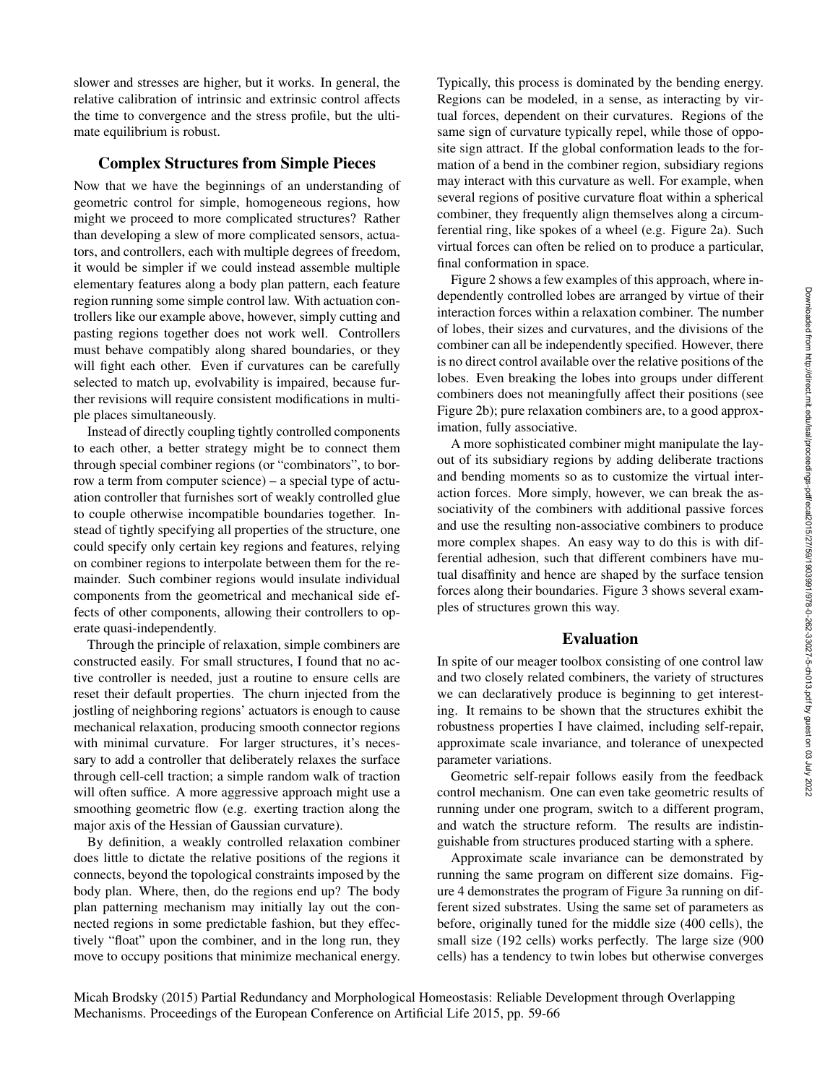slower and stresses are higher, but it works. In general, the relative calibration of intrinsic and extrinsic control affects the time to convergence and the stress profile, but the ultimate equilibrium is robust.

# Complex Structures from Simple Pieces

Now that we have the beginnings of an understanding of geometric control for simple, homogeneous regions, how might we proceed to more complicated structures? Rather than developing a slew of more complicated sensors, actuators, and controllers, each with multiple degrees of freedom, it would be simpler if we could instead assemble multiple elementary features along a body plan pattern, each feature region running some simple control law. With actuation controllers like our example above, however, simply cutting and pasting regions together does not work well. Controllers must behave compatibly along shared boundaries, or they will fight each other. Even if curvatures can be carefully selected to match up, evolvability is impaired, because further revisions will require consistent modifications in multiple places simultaneously.

Instead of directly coupling tightly controlled components to each other, a better strategy might be to connect them through special combiner regions (or "combinators", to borrow a term from computer science) – a special type of actuation controller that furnishes sort of weakly controlled glue to couple otherwise incompatible boundaries together. Instead of tightly specifying all properties of the structure, one could specify only certain key regions and features, relying on combiner regions to interpolate between them for the remainder. Such combiner regions would insulate individual components from the geometrical and mechanical side effects of other components, allowing their controllers to operate quasi-independently.

Through the principle of relaxation, simple combiners are constructed easily. For small structures, I found that no active controller is needed, just a routine to ensure cells are reset their default properties. The churn injected from the jostling of neighboring regions' actuators is enough to cause mechanical relaxation, producing smooth connector regions with minimal curvature. For larger structures, it's necessary to add a controller that deliberately relaxes the surface through cell-cell traction; a simple random walk of traction will often suffice. A more aggressive approach might use a smoothing geometric flow (e.g. exerting traction along the major axis of the Hessian of Gaussian curvature).

By definition, a weakly controlled relaxation combiner does little to dictate the relative positions of the regions it connects, beyond the topological constraints imposed by the body plan. Where, then, do the regions end up? The body plan patterning mechanism may initially lay out the connected regions in some predictable fashion, but they effectively "float" upon the combiner, and in the long run, they move to occupy positions that minimize mechanical energy.

Typically, this process is dominated by the bending energy. Regions can be modeled, in a sense, as interacting by virtual forces, dependent on their curvatures. Regions of the same sign of curvature typically repel, while those of opposite sign attract. If the global conformation leads to the formation of a bend in the combiner region, subsidiary regions may interact with this curvature as well. For example, when several regions of positive curvature float within a spherical combiner, they frequently align themselves along a circumferential ring, like spokes of a wheel (e.g. Figure 2a). Such virtual forces can often be relied on to produce a particular, final conformation in space.

Figure 2 shows a few examples of this approach, where independently controlled lobes are arranged by virtue of their interaction forces within a relaxation combiner. The number of lobes, their sizes and curvatures, and the divisions of the combiner can all be independently specified. However, there is no direct control available over the relative positions of the lobes. Even breaking the lobes into groups under different combiners does not meaningfully affect their positions (see Figure 2b); pure relaxation combiners are, to a good approximation, fully associative.

A more sophisticated combiner might manipulate the layout of its subsidiary regions by adding deliberate tractions and bending moments so as to customize the virtual interaction forces. More simply, however, we can break the associativity of the combiners with additional passive forces and use the resulting non-associative combiners to produce more complex shapes. An easy way to do this is with differential adhesion, such that different combiners have mutual disaffinity and hence are shaped by the surface tension forces along their boundaries. Figure 3 shows several examples of structures grown this way.

# Evaluation

In spite of our meager toolbox consisting of one control law and two closely related combiners, the variety of structures we can declaratively produce is beginning to get interesting. It remains to be shown that the structures exhibit the robustness properties I have claimed, including self-repair, approximate scale invariance, and tolerance of unexpected parameter variations.

Geometric self-repair follows easily from the feedback control mechanism. One can even take geometric results of running under one program, switch to a different program, and watch the structure reform. The results are indistinguishable from structures produced starting with a sphere.

Approximate scale invariance can be demonstrated by running the same program on different size domains. Figure 4 demonstrates the program of Figure 3a running on different sized substrates. Using the same set of parameters as before, originally tuned for the middle size (400 cells), the small size (192 cells) works perfectly. The large size (900 cells) has a tendency to twin lobes but otherwise converges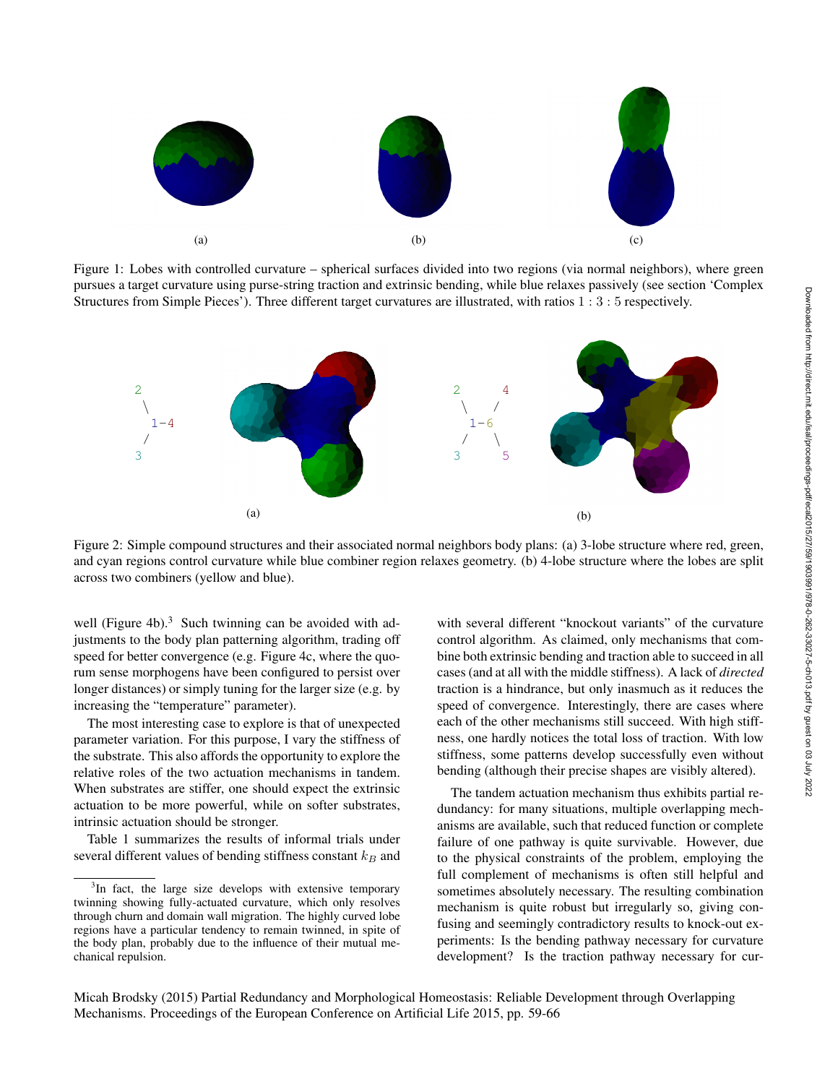

Figure 1: Lobes with controlled curvature – spherical surfaces divided into two regions (via normal neighbors), where green pursues a target curvature using purse-string traction and extrinsic bending, while blue relaxes passively (see section 'Complex Structures from Simple Pieces'). Three different target curvatures are illustrated, with ratios 1:3:5 respectively.



Figure 2: Simple compound structures and their associated normal neighbors body plans: (a) 3-lobe structure where red, green, and cyan regions control curvature while blue combiner region relaxes geometry. (b) 4-lobe structure where the lobes are split across two combiners (yellow and blue).

well (Figure 4b). $3$  Such twinning can be avoided with adjustments to the body plan patterning algorithm, trading off speed for better convergence (e.g. Figure 4c, where the quorum sense morphogens have been configured to persist over longer distances) or simply tuning for the larger size (e.g. by increasing the "temperature" parameter).

The most interesting case to explore is that of unexpected parameter variation. For this purpose, I vary the stiffness of the substrate. This also affords the opportunity to explore the relative roles of the two actuation mechanisms in tandem. When substrates are stiffer, one should expect the extrinsic actuation to be more powerful, while on softer substrates, intrinsic actuation should be stronger.

Table 1 summarizes the results of informal trials under several different values of bending stiffness constant  $k_B$  and

with several different "knockout variants" of the curvature control algorithm. As claimed, only mechanisms that combine both extrinsic bending and traction able to succeed in all cases (and at all with the middle stiffness). A lack of *directed* traction is a hindrance, but only inasmuch as it reduces the speed of convergence. Interestingly, there are cases where each of the other mechanisms still succeed. With high stiffness, one hardly notices the total loss of traction. With low stiffness, some patterns develop successfully even without bending (although their precise shapes are visibly altered).

The tandem actuation mechanism thus exhibits partial redundancy: for many situations, multiple overlapping mechanisms are available, such that reduced function or complete failure of one pathway is quite survivable. However, due to the physical constraints of the problem, employing the full complement of mechanisms is often still helpful and sometimes absolutely necessary. The resulting combination mechanism is quite robust but irregularly so, giving confusing and seemingly contradictory results to knock-out experiments: Is the bending pathway necessary for curvature development? Is the traction pathway necessary for cur-

<sup>&</sup>lt;sup>3</sup>In fact, the large size develops with extensive temporary twinning showing fully-actuated curvature, which only resolves through churn and domain wall migration. The highly curved lobe regions have a particular tendency to remain twinned, in spite of the body plan, probably due to the influence of their mutual mechanical repulsion.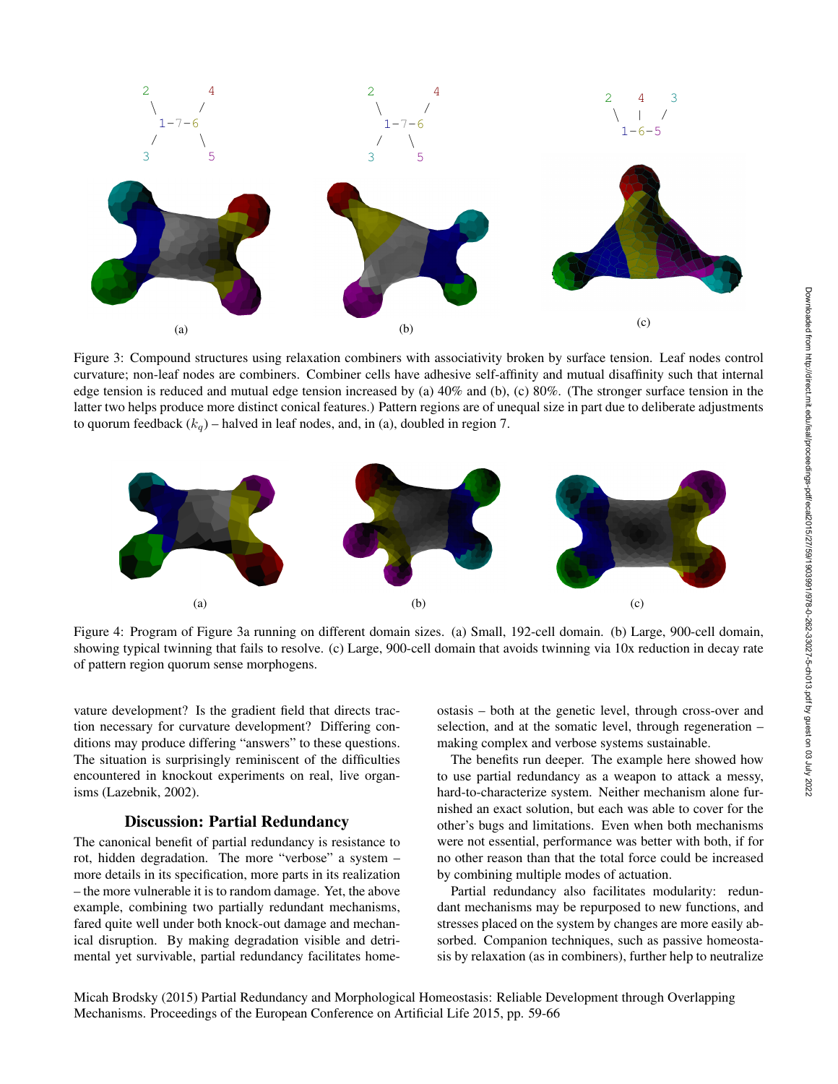

Figure 3: Compound structures using relaxation combiners with associativity broken by surface tension. Leaf nodes control curvature; non-leaf nodes are combiners. Combiner cells have adhesive self-affinity and mutual disaffinity such that internal edge tension is reduced and mutual edge tension increased by (a) 40% and (b), (c) 80%. (The stronger surface tension in the latter two helps produce more distinct conical features.) Pattern regions are of unequal size in part due to deliberate adjustments to quorum feedback  $(k_q)$  – halved in leaf nodes, and, in (a), doubled in region 7.



Figure 4: Program of Figure 3a running on different domain sizes. (a) Small, 192-cell domain. (b) Large, 900-cell domain, showing typical twinning that fails to resolve. (c) Large, 900-cell domain that avoids twinning via 10x reduction in decay rate of pattern region quorum sense morphogens.

vature development? Is the gradient field that directs traction necessary for curvature development? Differing conditions may produce differing "answers" to these questions. The situation is surprisingly reminiscent of the difficulties encountered in knockout experiments on real, live organisms (Lazebnik, 2002).

# Discussion: Partial Redundancy

The canonical benefit of partial redundancy is resistance to rot, hidden degradation. The more "verbose" a system – more details in its specification, more parts in its realization – the more vulnerable it is to random damage. Yet, the above example, combining two partially redundant mechanisms, fared quite well under both knock-out damage and mechanical disruption. By making degradation visible and detrimental yet survivable, partial redundancy facilitates homeostasis – both at the genetic level, through cross-over and selection, and at the somatic level, through regeneration – making complex and verbose systems sustainable.

The benefits run deeper. The example here showed how to use partial redundancy as a weapon to attack a messy, hard-to-characterize system. Neither mechanism alone furnished an exact solution, but each was able to cover for the other's bugs and limitations. Even when both mechanisms were not essential, performance was better with both, if for no other reason than that the total force could be increased by combining multiple modes of actuation.

Partial redundancy also facilitates modularity: redundant mechanisms may be repurposed to new functions, and stresses placed on the system by changes are more easily absorbed. Companion techniques, such as passive homeostasis by relaxation (as in combiners), further help to neutralize